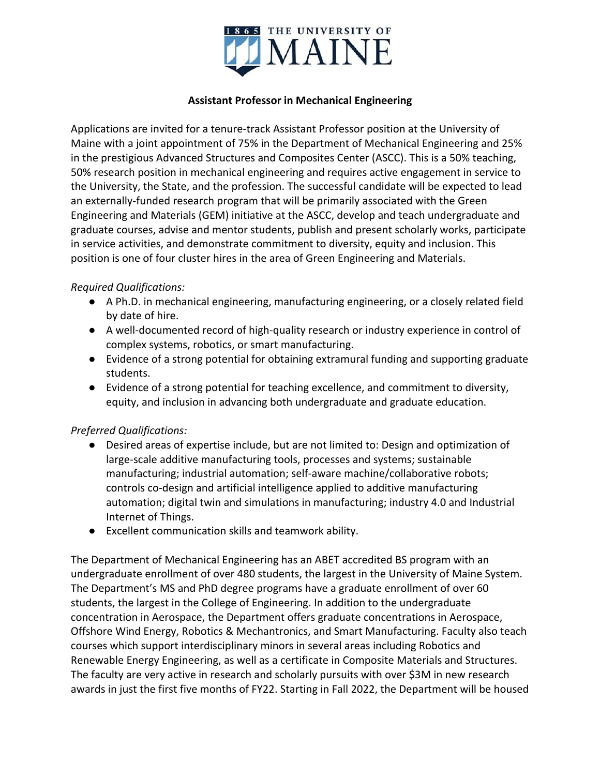

## **Assistant Professor in Mechanical Engineering**

Applications are invited for a tenure-track Assistant Professor position at the University of Maine with a joint appointment of 75% in the Department of Mechanical Engineering and 25% in the prestigious Advanced Structures and Composites Center (ASCC). This is a 50% teaching, 50% research position in mechanical engineering and requires active engagement in service to the University, the State, and the profession. The successful candidate will be expected to lead an externally-funded research program that will be primarily associated with the Green Engineering and Materials (GEM) initiative at the ASCC, develop and teach undergraduate and graduate courses, advise and mentor students, publish and present scholarly works, participate in service activities, and demonstrate commitment to diversity, equity and inclusion. This position is one of four cluster hires in the area of Green Engineering and Materials.

## *Required Qualifications:*

- A Ph.D. in mechanical engineering, manufacturing engineering, or a closely related field by date of hire.
- A well-documented record of high-quality research or industry experience in control of complex systems, robotics, or smart manufacturing.
- Evidence of a strong potential for obtaining extramural funding and supporting graduate students.
- Evidence of a strong potential for teaching excellence, and commitment to diversity, equity, and inclusion in advancing both undergraduate and graduate education.

## *Preferred Qualifications:*

- Desired areas of expertise include, but are not limited to: Design and optimization of large-scale additive manufacturing tools, processes and systems; sustainable manufacturing; industrial automation; self-aware machine/collaborative robots; controls co-design and artificial intelligence applied to additive manufacturing automation; digital twin and simulations in manufacturing; industry 4.0 and Industrial Internet of Things.
- Excellent communication skills and teamwork ability.

The Department of Mechanical Engineering has an ABET accredited BS program with an undergraduate enrollment of over 480 students, the largest in the University of Maine System. The Department's MS and PhD degree programs have a graduate enrollment of over 60 students, the largest in the College of Engineering. In addition to the undergraduate concentration in Aerospace, the Department offers graduate concentrations in Aerospace, Offshore Wind Energy, Robotics & Mechantronics, and Smart Manufacturing. Faculty also teach courses which support interdisciplinary minors in several areas including Robotics and Renewable Energy Engineering, as well as a certificate in Composite Materials and Structures. The faculty are very active in research and scholarly pursuits with over \$3M in new research awards in just the first five months of FY22. Starting in Fall 2022, the Department will be housed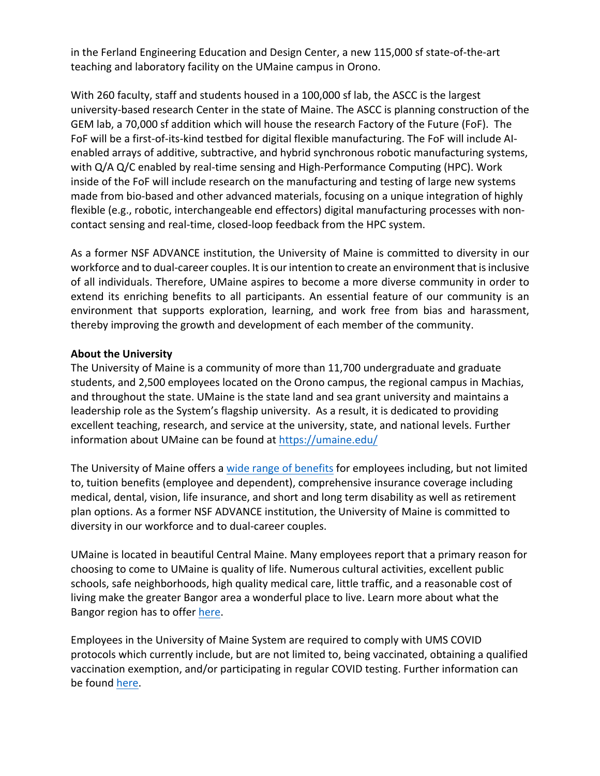in the Ferland Engineering Education and Design Center, a new 115,000 sf state-of-the-art teaching and laboratory facility on the UMaine campus in Orono.

With 260 faculty, staff and students housed in a 100,000 sf lab, the ASCC is the largest university-based research Center in the state of Maine. The ASCC is planning construction of the GEM lab, a 70,000 sf addition which will house the research Factory of the Future (FoF). The FoF will be a first-of-its-kind testbed for digital flexible manufacturing. The FoF will include AIenabled arrays of additive, subtractive, and hybrid synchronous robotic manufacturing systems, with  $Q/A$   $Q/C$  enabled by real-time sensing and High-Performance Computing (HPC). Work inside of the FoF will include research on the manufacturing and testing of large new systems made from bio-based and other advanced materials, focusing on a unique integration of highly flexible (e.g., robotic, interchangeable end effectors) digital manufacturing processes with noncontact sensing and real-time, closed-loop feedback from the HPC system.

As a former NSF ADVANCE institution, the University of Maine is committed to diversity in our workforce and to dual-career couples. It is our intention to create an environment that is inclusive of all individuals. Therefore, UMaine aspires to become a more diverse community in order to extend its enriching benefits to all participants. An essential feature of our community is an environment that supports exploration, learning, and work free from bias and harassment, thereby improving the growth and development of each member of the community.

## **About the University**

The University of Maine is a community of more than 11,700 undergraduate and graduate students, and 2,500 employees located on the Orono campus, the regional campus in Machias, and throughout the state. UMaine is the state land and sea grant university and maintains a leadership role as the System's flagship university. As a result, it is dedicated to providing excellent teaching, research, and service at the university, state, and national levels. Further information about UMaine can be found at  $https://umaine.edu/$ 

The University of Maine offers a wide range of benefits for employees including, but not limited to, tuition benefits (employee and dependent), comprehensive insurance coverage including medical, dental, vision, life insurance, and short and long term disability as well as retirement plan options. As a former NSF ADVANCE institution, the University of Maine is committed to diversity in our workforce and to dual-career couples.

UMaine is located in beautiful Central Maine. Many employees report that a primary reason for choosing to come to UMaine is quality of life. Numerous cultural activities, excellent public schools, safe neighborhoods, high quality medical care, little traffic, and a reasonable cost of living make the greater Bangor area a wonderful place to live. Learn more about what the Bangor region has to offer here.

Employees in the University of Maine System are required to comply with UMS COVID protocols which currently include, but are not limited to, being vaccinated, obtaining a qualified vaccination exemption, and/or participating in regular COVID testing. Further information can be found here.